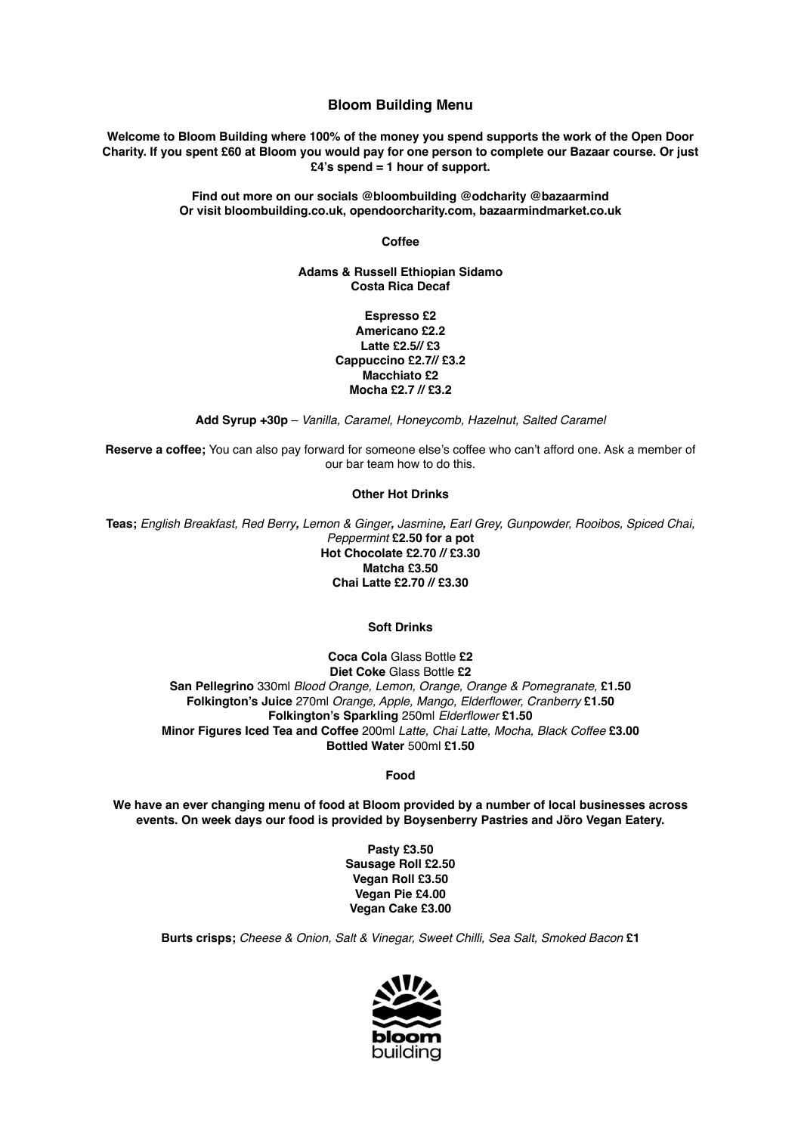# **Bloom Building Menu**

**Welcome to Bloom Building where 100% of the money you spend supports the work of the Open Door Charity. If you spent £60 at Bloom you would pay for one person to complete our Bazaar course. Or just £4's spend = 1 hour of support.** 

> **Find out more on our socials @bloombuilding @odcharity @bazaarmind Or visit bloombuilding.co.uk, opendoorcharity.com, bazaarmindmarket.co.uk**

> > **Coffee**

**Adams & Russell Ethiopian Sidamo Costa Rica Decaf**

> **Espresso £2 Americano £2.2 Latte £2.5// £3 Cappuccino £2.7// £3.2 Macchiato £2 Mocha £2.7 // £3.2**

**Add Syrup +30p** – *Vanilla, Caramel, Honeycomb, Hazelnut, Salted Caramel*

**Reserve a coffee;** You can also pay forward for someone else's coffee who can't afford one. Ask a member of our bar team how to do this.

**Other Hot Drinks** 

**Teas;** *English Breakfast, Red Berry, Lemon & Ginger, Jasmine, Earl Grey, Gunpowder, Rooibos, Spiced Chai, Peppermint* **£2.50 for a pot Hot Chocolate £2.70 // £3.30 Matcha £3.50 Chai Latte £2.70 // £3.30** 

## **Soft Drinks**

**Coca Cola** Glass Bottle **£2 Diet Coke** Glass Bottle **£2 San Pellegrino** 330ml *Blood Orange, Lemon, Orange, Orange & Pomegranate,* **£1.50 Folkington's Juice** 270ml *Orange, Apple, Mango, Elderflower, Cranberry* **£1.50 Folkington's Sparkling** 250ml *Elderflower* **£1.50 Minor Figures Iced Tea and Coffee** 200ml *Latte, Chai Latte, Mocha, Black Coffee* **£3.00 Bottled Water** 500ml **£1.50** 

## **Food**

**We have an ever changing menu of food at Bloom provided by a number of local businesses across events. On week days our food is provided by Boysenberry Pastries and Jöro Vegan Eatery.** 

> **Pasty £3.50 Sausage Roll £2.50 Vegan Roll £3.50 Vegan Pie £4.00 Vegan Cake £3.00**

**Burts crisps;** *Cheese & Onion, Salt & Vinegar, Sweet Chilli, Sea Salt, Smoked Bacon* **£1**